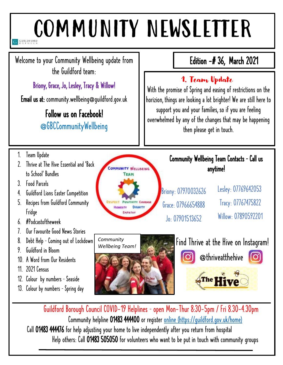# COMMUNITY NEWSLETTER

Welcome to your Community Wellbeing update from the Guildford team:

Briony, Grace, Jo, Lesley, Tracy & Willow!

Email us at: community.wellbeing@guildford.gov.uk

# Follow us on Facebook! @GBCCommunityWellbeing

# Edition -# 36, March 2021

# 1. Team Update

With the promise of Spring and easing of restrictions on the horizion, things are looking a lot brighter! We are still here to support you and your families, so if you are feeling overwhelmed by any of the changes that may be happening then please get in touch.

- 1. Team Update
- 2. Thrive at The Hive Essential and 'Back to School' Bundles
- 3. Food Parcels
- 4. Guildford Lions Easter Competition
- 5. Recipes from Guildford Community Fridge
- 6. #Podcastoftheweek
- 7. Our Favourite Good News Stories
- 8. Debt Help Coming out of Lockdown
- 9. Guildford in Bloom
- 10. A Word from Our Residents
- 11. 2021 Census
- 12. Colour by numbers Seaside
- 13. Colour by numbers Spring day



#### Community Wellbeing Team Contacts – Call us anytime!

Briony: 07970032626 Grace: 07966654888 Jo: 07901513652

Lesley: 07769642053 Tracy: 07767475822 Willow . 07890592201



Guildford Borough Council COVID-19 Helplines – open Mon-Thur 8:30-5pm / Fri 8.30-4.30pm Community helpline 01483 444400 or register [online](https://guildford-my.sharepoint.com/personal/grace_clayton_guildford_gov_uk/Documents/Desktop/online) (https://guildford.gov.uk/home) Call 01483 444476 for help adjusting your home to live independently after you return from hospital Help others: Call 01483 505050 for volunteers who want to be put in touch with community groups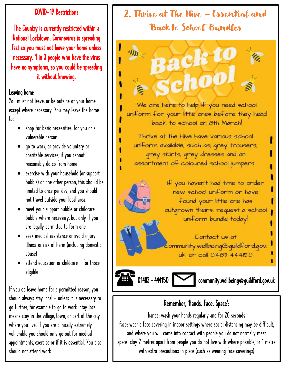#### COVID-19 Restrictions

National Lockdown. Coronavirus is spreading The Country is currently restricted within a fast so you must not leave your home unless necessary. 1 in 3 people who have the virus have no symptoms, so you could be spreading it without knowing.

#### Leaving home

You must not leave, or be outside of your home except where necessary. You may leave the home to:

- shop for basic necessities, for you or a vulnerable person
- go to work, or provide voluntary or charitable services, if you cannot reasonably do so from home
- exercise with your household (or support bubble) or one other person, this should be limited to once per day, and you should not travel outside your local area.
- meet your support bubble or childcare bubble where necessary, but only if you are legally permitted to form one
- seek medical assistance or avoid injury, illness or risk of harm (including domestic abuse)
- attend education or childcare for those eligible

If you do leave home for a permitted reason, you should always stay local - unless it is necessary to go further, for example to go to work. Stay local means stay in the village, town, or part of the city where you live. If you are clinically extremely vulnerable you should only go out for medical appointments, exercise or if it is essential. You also should not attend work.

# 2. Thrive at The Hive – Essential and 'Back to School' Bundles

 $c_{\rm ff}$ 

n

We are here to help if you need school uniform for your little ones before they head back to school on 8th March!

Thrive at the Hive have various school uniform available, such as, grey trousers, grey skirts, grey dresses and an assortment of coloured school jumpers

> If you haven't had time to order new school uniform or have found your little one has outgrown theirs, request a school uniform bundle today!

Contact us at ommunity.wellbeing@quildford.gov. uk or call 01483 444150

01483 - 444150 community.wellbeing@guildford.gov.uk

### Remember, 'Hands. Face. Space':

hands: wash your hands regularly and for 20 seconds face: wear a face covering in indoor settings where social distancing may be difficult, and where you will come into contact with people you do not normally meet space: stay 2 metres apart from people you do not live with where possible, or 1 metre with extra precautions in place (such as wearing face coverings)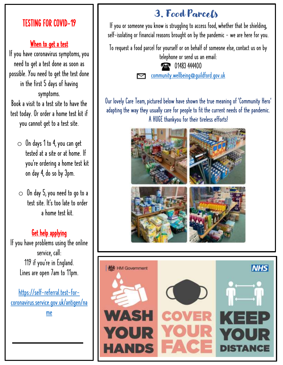### TESTING FOR COVID-19

#### When to get a test

If you have coronavirus symptoms, you need to get a test done as soon as possible. You need to get the test done in the first 5 days of having symptoms. Book a visit to a test site to have the test today. Or order a home test kit if

you cannot get to a test site.

- $\circ$  On days 1 to 4, you can get tested at a site or at home. If you're ordering a home test kit on day 4, do so by 3pm.
- $\circ$  On day 5, you need to go to a test site. It's too late to order a home test kit.

#### **Get help applying**

If you have problems using the online service, call: 119 if you're in England. Lines are open 7am to 11pm.

[https://self-referral.test-for](https://self-referral.test-for-coronavirus.service.gov.uk/antigen/name)[coronavirus.service.gov.uk/antigen/na](https://self-referral.test-for-coronavirus.service.gov.uk/antigen/name) [me](https://self-referral.test-for-coronavirus.service.gov.uk/antigen/name)

# 3. Food Parcels

If you or someone you know is struggling to access food, whether that be shielding, self-isolating or financial reasons brought on by the pandemic - we are here for you.

To request a food parcel for yourself or on behalf of someone else, contact us on by telephone or send us an email:

1483 444400

[community.wellbeing@guildford.gov.uk](mailto:community.wellbeing@guildford.gov.uk)

Our lovely Care Team, pictured below have shown the true meaning of 'Community Hero' adapting the way they usually care for people to fit the current needs of the pandemic. A HUGE thankyou for their tireless efforts!



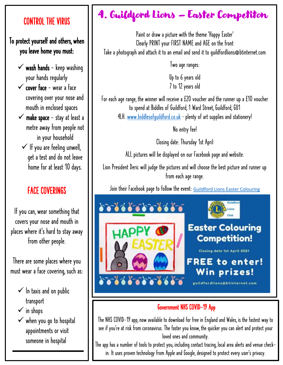#### CONTROL THE VIRUS

To protect yourself and others, when you leave home you must:

- $\checkmark$  wash hands keep washing your hands regularly
- $\checkmark$  cover face wear a face covering over your nose and mouth in enclosed spaces
- $\checkmark$  make space stay at least a metre away from people not in your household
- $\checkmark$  If you are feeling unwell, get a test and do not leave home for at least 10 days.

### FACE COVERINGS

If you can, wear something that covers your nose and mouth in places where it's hard to stay away from other people.

There are some places where you must wear a face covering, such as:

- $\checkmark$  In taxis and on public transport
- ✓ in shops
- ✓ when you go to hospital appointments or visit someone in hospital

# 4. Guildford Lions – Easter Competiton

Paint or draw a picture with the theme 'Happy Easter' Clearly PRINT your FIRST NAME and AGE on the front Take a photograph and attach it to an email and send it to guildfordlions@btinternet.com

Two age ranges:

Up to 6 years old 7 to 12 years old

For each age range, the winner will receive a £20 voucher and the runner up a £10 voucher to spend at Biddles of Guildford, 1 Ward Street, Guildford, GU1 4LH. www.biddlesofquildford.co.uk - plenty of art supplies and stationery!

No entry fee!

Closing date: Thursday 1st April

ALL pictures will be displayed on our Facebook page and website.

Lion President Deric will judge the pictures and will choose the best picture and runner up from each age range.

Join their Facebook page to follow the event: Guildford Lions Easter Colouring



#### Government NHS COVID-19 App

The NHS COVID-19 app, now available to download for free in England and Wales, is the fastest way to see if you're at risk from coronavirus. The faster you know, the quicker you can alert and protect your loved ones and community.

The app has a number of tools to protect you, including contact tracing, local area alerts and venue checkin. It uses proven technology from Apple and Google, designed to protect every user's privacy.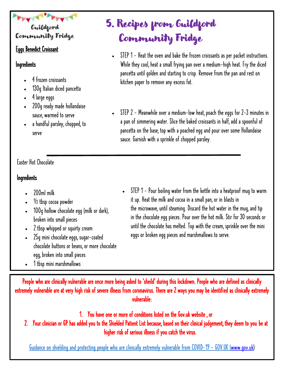### Guildgord Community Fridge

#### Eggs Benedict Croissant

#### **Ingredients**

- 4 frozen croissants
- 130g Italian diced pancetta
- 4 large eggs
- 200g ready made hollandaise sauce, warmed to serve
- a handful parsley, chopped, to serve

#### Easter Hot Chocolate

#### **Ingredients**

- 200ml milk
- $\frac{1}{2}$  tbsp cocoa powder
- 100g hollow chocolate egg (milk or dark), broken into small pieces
- 2 tbsp whipped or squirty cream
- 25g mini chocolate eggs, sugar-coated chocolate buttons or beans, or more chocolate egg, broken into small pieces
- 1 tbsp mini marshmallows

#### • STEP 1 - Pour boiling water from the kettle into a heatproof mug to warm it up. Heat the milk and cocoa in a small pan, or in blasts in the microwave, until steaming. Discard the hot water in the mug, and tip in the chocolate egg pieces. Pour over the hot milk. Stir for 30 seconds or until the chocolate has melted. Top with the cream, sprinkle over the mini eggs or broken egg pieces and marshmallows to serve.

People who are clinically vulnerable are once more being asked to 'sheild' during this lockdown. People who are defined as clinically extremely vulnerable are at very high risk of severe illness from coronavirus. There are 2 ways you may be identified as clinically extremely vulnerable:

1. You have one or more of conditions listed on the Gov.uk website , or

2. Your clinician or GP has added you to the Shielded Patient List because, based on their clinical judgement, they deem to you be at higher risk of serious illness if you catch the virus.

Guidance on shielding and protecting people who are clinically extremely vulnerable from COVID-19 - GOV.UK [\(www.gov.uk\)](https://www.gov.uk/)

# 5. Recipes from Guildford Community Fridge

- STEP 1 Heat the oven and bake the frozen croissants as per packet instructions. While they cool, heat a small frying pan over a medium-high heat. Fry the diced pancetta until golden and starting to crisp. Remove from the pan and rest on kitchen paper to remove any excess fat.
- STEP 2 Meanwhile over a medium-low heat, poach the eggs for 2-3 minutes in a pan of simmering water. Slice the baked croissants in half, add a spoonful of pancetta on the base, top with a poached egg and pour over some Hollandaise sauce. Garnish with a sprinkle of chopped parsley.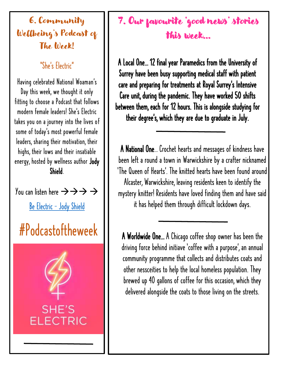6. Community Wellbeing's Podcast of The Week!

"She's Electric"

Having celebrated National Woaman's Day this week, we thought it only fitting to choose a Podcast that follows modern female leaders! She's Electric takes you on a journey into the lives of some of today's most powerful female leaders, sharing their motivation, their highs, their lows and their insatiable energy, hosted by wellness author Jody Shield.

You can listen here  $\rightarrow \rightarrow \rightarrow \rightarrow$ 

Be Electric — [Jody Shield](https://jodyshield.co.uk/podcast)

# #Podcastoftheweek



# 7. Our favourite 'good news' stories this week…

A Local One… 12 final year Paramedics from the University of Surrey have been busy supporting medical staff with patient care and preparing for treatments at Royal Surrey's Intensive Care unit, during the pandemic. They have worked 50 shifts between them, each for 12 hours. This is alongside studying for their degree' s, which they are due to graduate in July.

A National One… Crochet hearts and messages of kindness have been left a round a town in Warwickshire by a crafter nicknamed 'The Queen of Hearts'. The knitted hearts have been found around Alcaster, Warwickshire, leaving residents keen to identify the mystery knitter! Residents have loved finding them and have said it has helped them through difficult lockdown days.

A Worldwide One… A Chicago coffee shop owner has been the driving force behind initiave 'coffee with a purpose', an annual community programme that collects and distributes coats and other nessceities to help the local homeless population. They brewed up 40 gallons of coffee for this occasion, which they delivered alongside the coats to those living on the streets.

I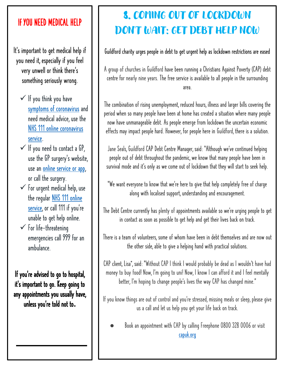### If YOU NEED MEDICAL HELP

It's important to get medical help if you need it, especially if you feel very unwell or think there's something seriously wrong.

- $\checkmark$  If you think you have [symptoms of coronavirus](https://www.nhs.uk/conditions/coronavirus-covid-19/symptoms/) and need medical advice, use the [NHS 111 online coronavirus](https://111.nhs.uk/covid-19/)  [service.](https://111.nhs.uk/covid-19/)
- $\checkmark$  If you need to contact a GP, use the GP surgery's website, use an online service or app, or call the surgery.
- $\checkmark$  For urgent medical help, use the regular NHS 111 online [service,](https://111.nhs.uk/) or call 111 if you're unable to get help online.
- $\checkmark$  For life-threatening emergencies call 999 for an ambulance.

If you're advised to go to hospital, it's important to go. Keep going to any appointments you usually have, unless you're told not to**.**

# 8. COMING OUT OF LOCKDOWN DON'T WAIT: GET DEBT HELP NOW

#### Guildford charity urges people in debt to get urgent help as lockdown restrictions are eased

A group of churches in Guildford have been running a Christians Against Poverty (CAP) debt centre for nearly nine years. The free service is available to all people in the surrounding area.

The combination of rising unemployment, reduced hours, illness and larger bills covering the period when so many people have been at home has created a situation where many people now have unmanageable debt. As people emerge from lockdown the uncertain economic effects may impact people hard. However, for people here in Guildford, there is a solution.

Jane Seals, Guildford CAP Debt Centre Manager, said: "Although we've continued helping people out of debt throughout the pandemic, we know that many people have been in survival mode and it's only as we come out of lockdown that they will start to seek help.

"We want everyone to know that we're here to give that help completely free of charge along with localised support, understanding and encouragement.

The Debt Centre currently has plenty of appointments available so we're urging people to get in contact as soon as possible to get help and get their lives back on track.

There is a team of volunteers, some of whom have been in debt themselves and are now out the other side, able to give a helping hand with practical solutions.

CAP client, Lisa\*, said: "Without CAP I think I would probably be dead as I wouldn't have had money to buy food! Now, I'm going to uni! Now, I know I can afford it and I feel mentally better, I'm hoping to change people's lives the way CAP has changed mine."

If you know things are out of control and you're stressed, missing meals or sleep, please give us a call and let us help you get your life back on track.

Book an appointment with CAP by calling Freephone 0800 328 0006 or visit [capuk.org](http://capuk.org/)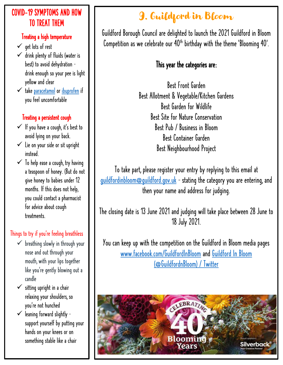#### COVID-19 SYMPTOMS AND HOW TO TREAT THEM

#### Treating a high temperature

- $\checkmark$  get lots of rest
- $\checkmark$  drink plenty of fluids (water is best) to avoid dehydration – drink enough so your pee is light yellow and clear
- ✓ take [paracetamol](https://www.nhs.uk/medicines/paracetamol-for-adults/) or [ibuprofen](https://www.nhs.uk/medicines/ibuprofen-for-adults/) if you feel uncomfortable

#### Treating a persistent cough

- $\checkmark$  If you have a cough, it's best to avoid lying on your back.
- $\checkmark$  Lie on your side or sit upright instead.
- $\checkmark$  To help ease a cough, try having a teaspoon of honey. (But do not give honey to babies under 12 months. If this does not help, you could contact a pharmacist for advice about cough treatments.

#### Things to try if you're feeling breathless

- $\checkmark$  breathing slowly in through your nose and out through your mouth, with your lips together like you're gently blowing out a candle
- $\checkmark$  sitting upright in a chair relaxing your shoulders, so you're not hunched
- $\checkmark$  leaning forward slightly support yourself by putting your hands on your knees or on something stable like a chair

# 9. Guildford in Bloom

Guildford Borough Council are delighted to launch the 2021 Guildford in Bloom Competition as we celebrate our  $40<sup>th</sup>$  birthday with the theme 'Blooming  $40'$ .

### This year the categories are:

Best Front Garden Best Allotment & Vegetable/Kitchen Gardens Best Garden for Wildlife Best Site for Nature Conservation Best Pub / Business in Bloom Best Container Garden Best Neighbourhood Project

To take part, please register your entry by replying to this email at [guildfordinbloom@guildford.gov.uk](mailto:guildfordinbloom@guildford.gov.uk) - stating the category you are entering, and then your name and address for judging.

The closing date is 13 June 2021 and judging will take place between 28 June to 18 July 2021.

You can keep up with the competition on the Guildford in Bloom media pages [www.facebook.com/GuildfordInBloom](http://www.facebook.com/GuildfordInBloom) and [Guildford In Bloom](https://twitter.com/guildfordnbloom?lang=en)  [\(@GuildfordnBloom\) / Twitter](https://twitter.com/guildfordnbloom?lang=en)

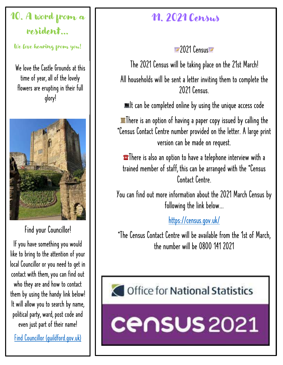# 10. A word from  $a$ resident…

We love hearing from you!

We love the Castle Grounds at this time of year, all of the lovely flowers are erupting in their full glory!



Find your Councillor!

If you have something you would like to bring to the attention of your local Councillor or you need to get in contact with them, you can find out who they are and how to contact them by using the handy link below! It will allow you to search by name, political party, ward, post code and even just part of their name!

[Find Councillor \(guildford.gov.uk\)](http://www2.guildford.gov.uk/councilmeetings/mgFindMember.aspx)

# 11. 2021 Census

2021 Census

The 2021 Census will be taking place on the 21st March! All households will be sent a letter inviting them to complete the 2021 Census.

 $\blacksquare$ It can be completed online by using the unique access code

**There is an option of having a paper copy issued by calling the** \*Census Contact Centre number provided on the letter. A large print version can be made on request.

**There** is also an option to have a telephone interview with a trained member of staff, this can be arranged with the \*Census Contact Centre.

You can find out more information about the 2021 March Census by following the link below...

[https://census.gov.uk/](https://census.gov.uk/?fbclid=IwAR1gT_nAPnjBXdV-qQefUH0S6Rly7ydaRiw99fMWLnVNo1f2_n6yHhw-lu0)

\*The Census Contact Centre will be available from the 1st of March, the number will be 0800 141 2021

# Office for National Statistics

**Census** 2021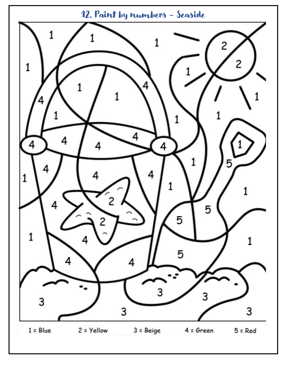